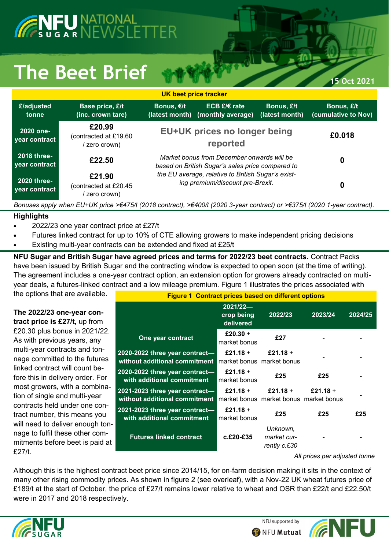## ENFU NATIONAL<br>Esugar NEWSLETTER

## The Beet Brief **15 Oct 2021**

| UK beet price tracker               |                                                                                                                           |                                                                                                |                                     |                              |                                   |  |  |  |
|-------------------------------------|---------------------------------------------------------------------------------------------------------------------------|------------------------------------------------------------------------------------------------|-------------------------------------|------------------------------|-----------------------------------|--|--|--|
| £/adjusted<br>tonne                 | Base price, £/t<br>(inc. crown tare)                                                                                      | Bonus, €/t<br>(latest month)                                                                   | ECB $E/E$ rate<br>(monthly average) | Bonus, £/t<br>(latest month) | Bonus, £/t<br>(cumulative to Nov) |  |  |  |
| 2020 one-<br>year contract          | £20.99<br>(contracted at £19.60)<br>zero crown)                                                                           | <b>EU+UK prices no longer being</b>                                                            | £0,018                              |                              |                                   |  |  |  |
| <b>2018 three-</b><br>year contract | £22.50                                                                                                                    | Market bonus from December onwards will be<br>based on British Sugar's sales price compared to | 0                                   |                              |                                   |  |  |  |
| <b>2020 three-</b><br>year contract | £21.90<br>(contracted at £20.45<br>zero crown)                                                                            | the EU average, relative to British Sugar's exist-<br>ing premium/discount pre-Brexit.         | 0                                   |                              |                                   |  |  |  |
|                                     | Bonuses apply when EU+UK price >€475/t (2018 contract), >€400/t (2020 3-year contract) or >€375/t (2020 1-year contract). |                                                                                                |                                     |                              |                                   |  |  |  |

## **Highlights**

- 2022/23 one year contract price at £27/t
- Futures linked contract for up to 10% of CTE allowing growers to make independent pricing decisions
- Existing multi-year contracts can be extended and fixed at £25/t

**NFU Sugar and British Sugar have agreed prices and terms for 2022/23 beet contracts.** Contract Packs have been issued by British Sugar and the contracting window is expected to open soon (at the time of writing). The agreement includes a one-year contract option, an extension option for growers already contracted on multiyear deals, a futures-linked contract and a low mileage premium. Figure 1 illustrates the prices associated with

the options that are available.

## **The 2022/23 one-year contract price is £27/t,** up from

£20.30 plus bonus in 2021/22. As with previous years, any multi-year contracts and tonnage committed to the futures linked contract will count before this in delivery order. For most growers, with a combination of single and multi-year contracts held under one contract number, this means you will need to deliver enough tonnage to fulfil these other commitments before beet is paid at £27/t.

| <b>Figure 1 Contract prices based on different options</b>      |                                       |                                                    |          |         |  |  |  |
|-----------------------------------------------------------------|---------------------------------------|----------------------------------------------------|----------|---------|--|--|--|
|                                                                 | $2021/22-$<br>crop being<br>delivered | 2022/23                                            | 2023/24  | 2024/25 |  |  |  |
| One year contract                                               | £20.30 +<br>market bonus              | £27                                                |          |         |  |  |  |
| 2020-2022 three year contract-<br>without additional commitment | £21.18 +                              | £21.18 +<br>market bonus market bonus              |          |         |  |  |  |
| 2020-2022 three year contract-<br>with additional commitment    | £21.18 +<br>market bonus              | £25                                                | £25      |         |  |  |  |
| 2021-2023 three year contract-<br>without additional commitment | £21.18 +                              | £21.18 +<br>market bonus market bonus market bonus | £21.18 + |         |  |  |  |
| 2021-2023 three year contract-<br>with additional commitment    | £21.18 +<br>market bonus              | £25                                                | £25      | £25     |  |  |  |
| <b>Futures linked contract</b>                                  | $c.E20-E35$                           | Unknown.<br>market cur-<br>rently c.£30            |          |         |  |  |  |

*All prices per adjusted tonne*

Although this is the highest contract beet price since 2014/15, for on-farm decision making it sits in the context of many other rising commodity prices. As shown in figure 2 (see overleaf), with a Nov-22 UK wheat futures price of £189/t at the start of October, the price of £27/t remains lower relative to wheat and OSR than £22/t and £22.50/t were in 2017 and 2018 respectively.



NFU supported by

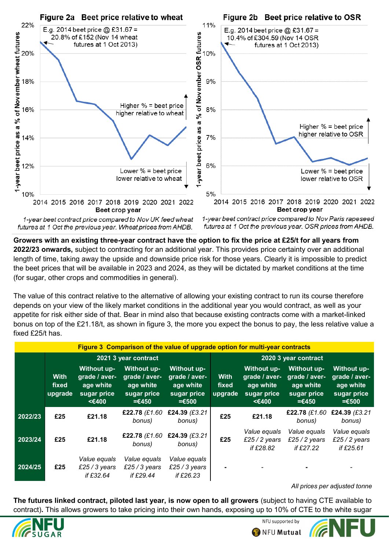

1-year beet contract price compared to Nov UK feed wheat futures at 1 Oct the previous year. Wheat prices from AHDB.

1-year beet contract price compared to Nov Paris rapeseed futures at 1 Oct the previous year. OSR prices from AHDB.

**Growers with an existing three-year contract have the option to fix the price at £25/t for all years from 2022/23 onwards,** subject to contracting for an additional year. This provides price certainty over an additional length of time, taking away the upside and downside price risk for those years. Clearly it is impossible to predict the beet prices that will be available in 2023 and 2024, as they will be dictated by market conditions at the time (for sugar, other crops and commodities in general).

The value of this contract relative to the alternative of allowing your existing contract to run its course therefore depends on your view of the likely market conditions in the additional year you would contract, as well as your appetite for risk either side of that. Bear in mind also that because existing contracts come with a market-linked bonus on top of the £21.18/t, as shown in figure 3, the more you expect the bonus to pay, the less relative value a fixed £25/t has

| Figure 3 Comparison of the value of upgrade option for multi-year contracts |                                 |                                                                   |                                                                     |                                                                             |                                 |                                                                   |                                                                            |                                                                             |
|-----------------------------------------------------------------------------|---------------------------------|-------------------------------------------------------------------|---------------------------------------------------------------------|-----------------------------------------------------------------------------|---------------------------------|-------------------------------------------------------------------|----------------------------------------------------------------------------|-----------------------------------------------------------------------------|
|                                                                             | 2021 3 year contract            |                                                                   |                                                                     |                                                                             | 2020 3 year contract            |                                                                   |                                                                            |                                                                             |
|                                                                             | <b>With</b><br>fixed<br>upgrade | Without up-<br>grade / aver-<br>age white<br>sugar price<br><€400 | Without up-<br>grade / aver-<br>age white<br>sugar price<br>$=6450$ | <b>Without up-</b><br>grade / aver-<br>age white<br>sugar price<br>$= 6500$ | <b>With</b><br>fixed<br>upgrade | Without up-<br>grade / aver-<br>age white<br>sugar price<br><€400 | <b>Without up-</b><br>grade / aver-<br>age white<br>sugar price<br>$=6450$ | <b>Without up-</b><br>grade / aver-<br>age white<br>sugar price<br>$= 6500$ |
| 2022/23                                                                     | £25                             | £21.18                                                            | £22.78 (£1.60<br>bonus)                                             | £24.39 (£3.21<br>bonus)                                                     | £25                             | £21.18                                                            | £22.78 (£1.60<br>bonus)                                                    | £24.39 (£3.21<br>bonus)                                                     |
| 2023/24                                                                     | £25                             | £21.18                                                            | £22.78 (£1.60<br>bonus)                                             | £24.39 (£3.21<br>bonus)                                                     | £25                             | Value equals<br>£25 $/$ 2 years<br>if £28.82                      | Value equals<br>£25 / 2 years<br>if £27.22                                 | Value equals<br>£25 / 2 years<br>if £25.61                                  |
| 2024/25                                                                     | £25                             | Value equals<br>£25 / 3 years<br>if $£32.64$                      | Value equals<br>£25 / 3 years<br>if $£29.44$                        | Value equals<br>£25 / 3 years<br>if $£26.23$                                |                                 |                                                                   |                                                                            |                                                                             |

*All prices per adjusted tonne*

**The futures linked contract, piloted last year, is now open to all growers** (subject to having CTE available to contract)**.** This allows growers to take pricing into their own hands, exposing up to 10% of CTE to the white sugar